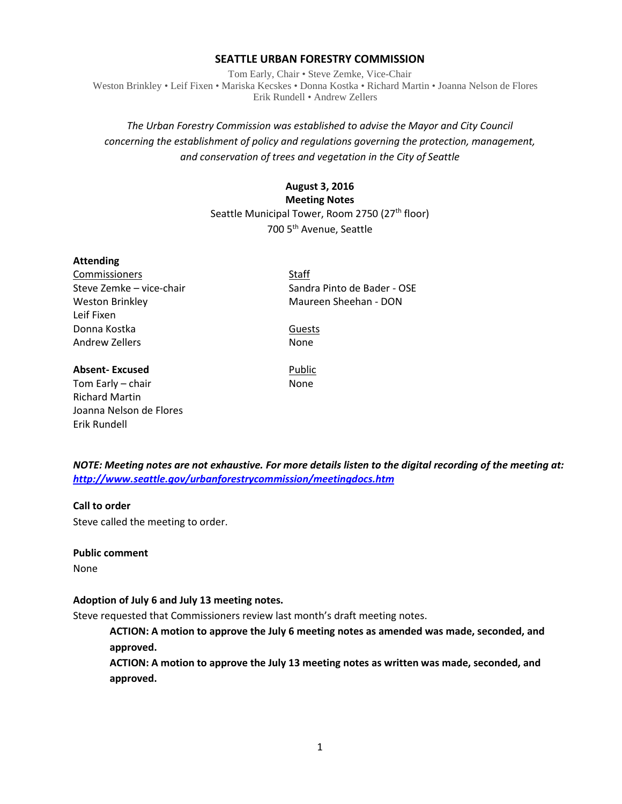### **SEATTLE URBAN FORESTRY COMMISSION**

Tom Early, Chair • Steve Zemke, Vice-Chair Weston Brinkley • Leif Fixen • Mariska Kecskes • Donna Kostka • Richard Martin • Joanna Nelson de Flores Erik Rundell • Andrew Zellers

# *The Urban Forestry Commission was established to advise the Mayor and City Council concerning the establishment of policy and regulations governing the protection, management, and conservation of trees and vegetation in the City of Seattle*

## **August 3, 2016 Meeting Notes** Seattle Municipal Tower, Room 2750 (27<sup>th</sup> floor) 700 5th Avenue, Seattle

#### **Attending**

Commissioners Staff Leif Fixen Donna Kostka Guests Andrew Zellers None

Steve Zemke – vice-chair Sandra Pinto de Bader - OSE Weston Brinkley Maureen Sheehan - DON

**Absent-Excused** Public

Tom Early – chair None Richard Martin Joanna Nelson de Flores Erik Rundell

*NOTE: Meeting notes are not exhaustive. For more details listen to the digital recording of the meeting at: <http://www.seattle.gov/urbanforestrycommission/meetingdocs.htm>*

### **Call to order**

Steve called the meeting to order.

#### **Public comment**

None

### **Adoption of July 6 and July 13 meeting notes.**

Steve requested that Commissioners review last month's draft meeting notes.

**ACTION: A motion to approve the July 6 meeting notes as amended was made, seconded, and approved.**

**ACTION: A motion to approve the July 13 meeting notes as written was made, seconded, and approved.**